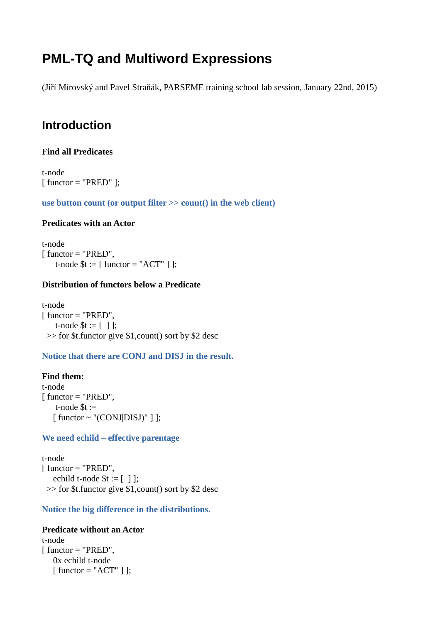# **PML-TQ and Multiword Expressions**

(Jiří Mírovský and Pavel Straňák, PARSEME training school lab session, January 22nd, 2015)

# **Introduction**

# **Find all Predicates**

t-node  $[$  functor = "PRED"  $]$ ;

**use button count (or output filter >> count() in the web client)**

# **Predicates with an Actor**

t-node [ functor = "PRED", t-node  $t := [$  functor = "ACT"  $]$  ];

# **Distribution of functors below a Predicate**

t-node [ functor = "PRED", t-node  $t := [ ]$  ; >> for \$t.functor give \$1,count() sort by \$2 desc

**Notice that there are CONJ and DISJ in the result.**

# **Find them:** t-node  $[$  functor = "PRED", t-node  $t :=$  $[$  functor  $\sim$  "(CONJ $|DISJ$ )"  $]$  ;

# **We need echild – effective parentage**

t-node  $[$  functor = "PRED", echild t-node  $t = [ ]$ ; >> for \$t.functor give \$1,count() sort by \$2 desc

**Notice the big difference in the distributions.**

### **Predicate without an Actor**

t-node  $[$  functor = "PRED", 0x echild t-node [ functor = "ACT" ] ];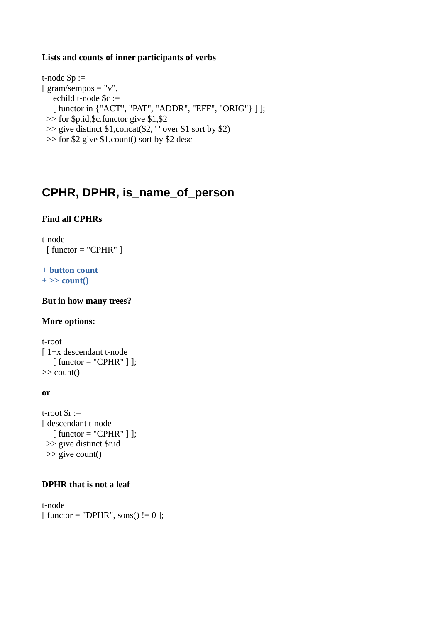# **Lists and counts of inner participants of verbs**

t-node \$p :=  $\int$  gram/sempos = "v", echild t-node \$c := [ functor in {"ACT", "PAT", "ADDR", "EFF", "ORIG"} ] ]; >> for \$p.id,\$c.functor give \$1,\$2 >> give distinct \$1,concat(\$2, ' ' over \$1 sort by \$2) >> for \$2 give \$1,count() sort by \$2 desc

# **CPHR, DPHR, is\_name\_of\_person**

# **Find all CPHRs**

t-node  $[$  functor = "CPHR"  $]$ 

### **+ button count + >> count()**

**But in how many trees?**

### **More options:**

t-root [ 1+x descendant t-node  $\lceil$  functor = "CPHR"  $\rceil$  ); >> count()

### **or**

t-root  $\text{Sr} :=$ [ descendant t-node  $[$  functor = "CPHR"  $]$  ]; >> give distinct \$r.id >> give count()

### **DPHR that is not a leaf**

t-node  $[$  functor = "DPHR", sons $()$ != 0 ];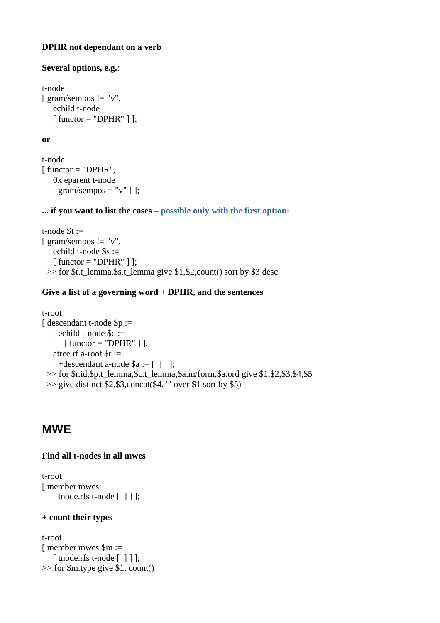# **DPHR not dependant on a verb**

## **Several options, e.g.**:

```
t-node 
[ gram/sempos != "v",
    echild t-node 
    [ functor = "DPHR" ] ];
```
# **or**

```
t-node 
[ functor = "DPHR",
     0x eparent t-node 
    \lceil \frac{gamma}{\text{sem}}/ \text{sempos} = "v" \rceil ];
```
# **... if you want to list the cases** – **possible only with the first option:**

```
t-node t :=[ gram/sempos != "v",
    echild t-node $s := 
    [ functor = "DPHR" ] ];
 \gg for $t.t_lemma,$s.t_lemma give $1,$2,count() sort by $3 desc
```
# **Give a list of a governing word + DPHR, and the sentences**

```
t-root 
[ descendant t-node $p := 
    [ echild t-node $c := 
      [ functor = "DPHR" ]],
    atree.rf a-root $r := 
   \lceil +descendant a-node $a := \lceil \rceil \rceil ;
  >> for $r.id,$p.t_lemma,$c.t_lemma,$a.m/form,$a.ord give $1,$2,$3,$4,$5
  >> give distinct $2,$3,concat($4, ' ' over $1 sort by $5)
```
# **MWE**

# **Find all t-nodes in all mwes**

```
t-root 
[ member mwes 
    [ tnode.rfs t-node [ ] ] ];
```
### **+ count their types**

```
t-root 
[ member mwes $m := 
   [ tnode.rfs t-node [ ] ] ];
>> for $m.type give $1, count()
```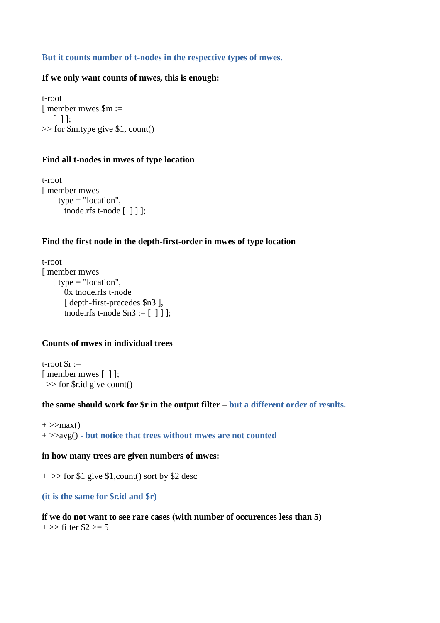### **But it counts number of t-nodes in the respective types of mwes.**

### **If we only want counts of mwes, this is enough:**

t-root [ member mwes \$m :=  $[ \ ]$ : >> for \$m.type give \$1, count()

#### **Find all t-nodes in mwes of type location**

t-root [ member mwes [ type = "location", tnode.rfs t-node [ ] ] ];

### **Find the first node in the depth-first-order in mwes of type location**

t-root [ member mwes [ type = "location", 0x tnode.rfs t-node [ depth-first-precedes \$n3 ], tnode.rfs t-node  $\$n3 := [ ] ]$  ];

### **Counts of mwes in individual trees**

t-root  $\text{Sr} :=$ [ member mwes [ ] ]; >> for \$r.id give count()

### **the same should work for \$r in the output filter** – **but a different order of results.**

 $+$  >> $max()$ + >>avg() **- but notice that trees without mwes are not counted**

### **in how many trees are given numbers of mwes:**

+ >> for \$1 give \$1,count() sort by \$2 desc

### **(it is the same for \$r.id and \$r)**

# **if we do not want to see rare cases (with number of occurences less than 5)**

 $+ >>$  filter \$2 > = 5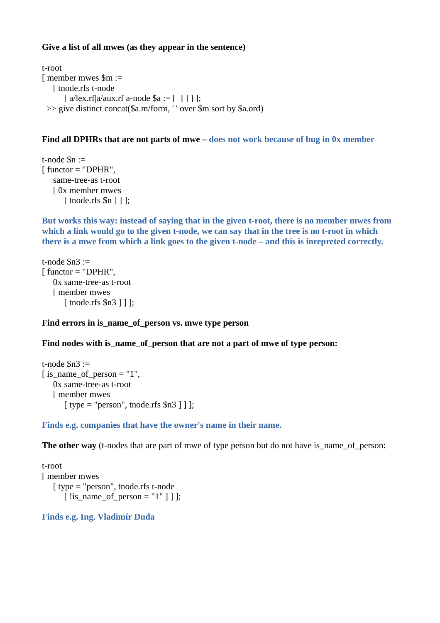# **Give a list of all mwes (as they appear in the sentence)**

t-root [ member mwes \$m := [ tnode.rfs t-node  $[a/lex.rf]a/aux.rf a-node $a := [ ] ] ]$ ; >> give distinct concat(\$a.m/form, ' ' over \$m sort by \$a.ord)

# **Find all DPHRs that are not parts of mwe – does not work because of bug in 0x member**

t-node \$n :=  $[$  functor = "DPHR", same-tree-as t-root [ 0x member mwes [ tnode.rfs \$n ] ] ];

**But works this way: instead of saying that in the given t-root, there is no member mwes from which a link would go to the given t-node, we can say that in the tree is no t-root in which there is a mwe from which a link goes to the given t-node – and this is inrepreted correctly.**

```
t-node $n3 := 
[ functor = "DPHR".
    0x same-tree-as t-root 
    [ member mwes 
      [ tnode.rfs $n3 ] ] ];
```
# **Find errors in is\_name\_of\_person vs. mwe type person**

# **Find nodes with is\_name\_of\_person that are not a part of mwe of type person:**

```
t-node \text{\$n3} :=[ is_name_of_person = "1",
    0x same-tree-as t-root 
    [ member mwes 
      [ type = "person", tnode.rfs $n3 ] ];
```
### **Finds e.g. companies that have the owner's name in their name.**

**The other way** (t-nodes that are part of mwe of type person but do not have is name of person:

```
t-root 
[ member mwes 
    [ type = "person", tnode.rfs t-node 
      [ ! is name of person = "1" ] ] ];
```
**Finds e.g. Ing. Vladimír Duda**